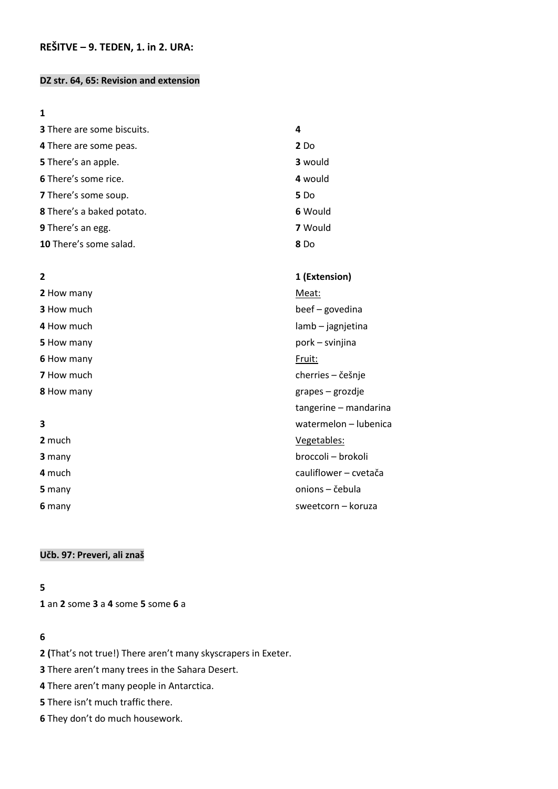### **DZ str. 64, 65: Revision and extension**

### 

| <b>3</b> There are some biscuits. | 4               |
|-----------------------------------|-----------------|
| 4 There are some peas.            | 2 <sub>Do</sub> |
| 5 There's an apple.               | 3 would         |
| 6 There's some rice.              | 4 would         |
| 7 There's some soup.              | 5 <sub>Do</sub> |
| 8 There's a baked potato.         | 6 Would         |
| 9 There's an egg.                 | 7 Would         |
| 10 There's some salad.            | 8 Do            |

| $\overline{2}$    | 1 (Extension)         |
|-------------------|-----------------------|
| 2 How many        | Meat:                 |
| <b>3</b> How much | beef – govedina       |
| 4 How much        | lamb – jagnjetina     |
| 5 How many        | pork – svinjina       |
| 6 How many        | Fruit:                |
| <b>7</b> How much | cherries – češnje     |
| 8 How many        | grapes – grozdje      |
|                   | tangerine - mandarina |
| 3                 | watermelon - lubenica |
| 2 much            | Vegetables:           |
| 3 many            | broccoli – brokoli    |
| 4 much            | cauliflower - cvetača |
| 5 many            | onions – čebula       |
| 6 many            | sweetcorn - koruza    |

# **Učb. 97: Preveri, ali znaš**

# 

an **2** some **3** a **4** some **5** some **6** a

# 

**2 (**That's not true!) There aren't many skyscrapers in Exeter.

There aren't many trees in the Sahara Desert.

There aren't many people in Antarctica.

There isn't much traffic there.

They don't do much housework.